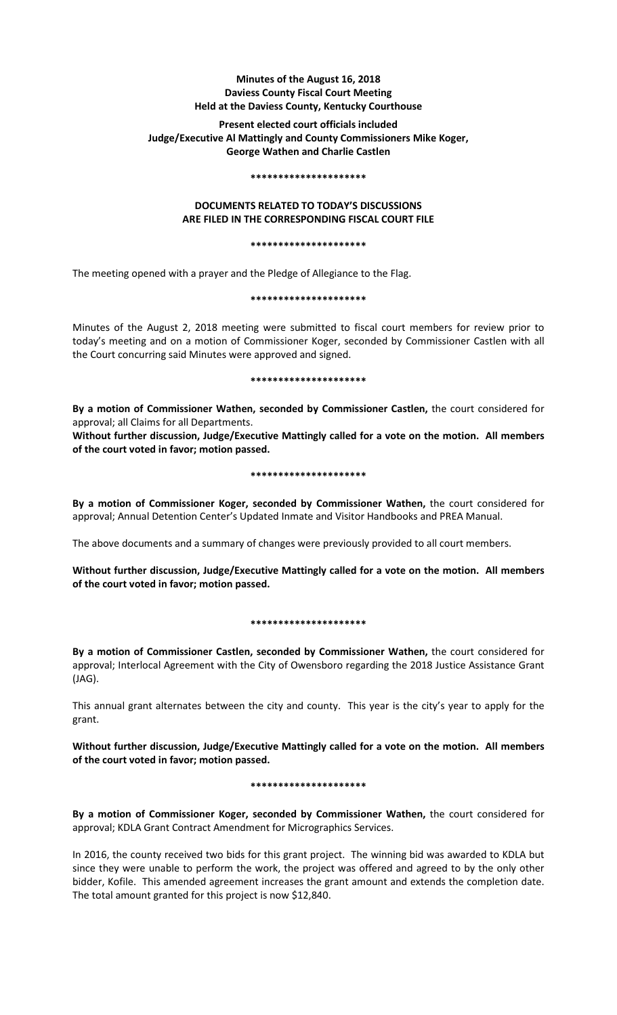# **Minutes of the August 16, 2018 Daviess County Fiscal Court Meeting Held at the Daviess County, Kentucky Courthouse**

# **Present elected court officials included Judge/Executive Al Mattingly and County Commissioners Mike Koger, George Wathen and Charlie Castlen**

#### **\*\*\*\*\*\*\*\*\*\*\*\*\*\*\*\*\*\*\*\*\***

# **DOCUMENTS RELATED TO TODAY'S DISCUSSIONS ARE FILED IN THE CORRESPONDING FISCAL COURT FILE**

#### **\*\*\*\*\*\*\*\*\*\*\*\*\*\*\*\*\*\*\*\*\***

The meeting opened with a prayer and the Pledge of Allegiance to the Flag.

### **\*\*\*\*\*\*\*\*\*\*\*\*\*\*\*\*\*\*\*\*\***

Minutes of the August 2, 2018 meeting were submitted to fiscal court members for review prior to today's meeting and on a motion of Commissioner Koger, seconded by Commissioner Castlen with all the Court concurring said Minutes were approved and signed.

**\*\*\*\*\*\*\*\*\*\*\*\*\*\*\*\*\*\*\*\*\***

**By a motion of Commissioner Wathen, seconded by Commissioner Castlen,** the court considered for approval; all Claims for all Departments.

**Without further discussion, Judge/Executive Mattingly called for a vote on the motion. All members of the court voted in favor; motion passed.** 

# **\*\*\*\*\*\*\*\*\*\*\*\*\*\*\*\*\*\*\*\*\***

**By a motion of Commissioner Koger, seconded by Commissioner Wathen,** the court considered for approval; Annual Detention Center's Updated Inmate and Visitor Handbooks and PREA Manual.

The above documents and a summary of changes were previously provided to all court members.

**Without further discussion, Judge/Executive Mattingly called for a vote on the motion. All members of the court voted in favor; motion passed.** 

# **\*\*\*\*\*\*\*\*\*\*\*\*\*\*\*\*\*\*\*\*\***

**By a motion of Commissioner Castlen, seconded by Commissioner Wathen,** the court considered for approval; Interlocal Agreement with the City of Owensboro regarding the 2018 Justice Assistance Grant (JAG).

This annual grant alternates between the city and county. This year is the city's year to apply for the grant.

**Without further discussion, Judge/Executive Mattingly called for a vote on the motion. All members of the court voted in favor; motion passed.** 

**\*\*\*\*\*\*\*\*\*\*\*\*\*\*\*\*\*\*\*\*\***

**By a motion of Commissioner Koger, seconded by Commissioner Wathen,** the court considered for approval; KDLA Grant Contract Amendment for Micrographics Services.

In 2016, the county received two bids for this grant project. The winning bid was awarded to KDLA but since they were unable to perform the work, the project was offered and agreed to by the only other bidder, Kofile. This amended agreement increases the grant amount and extends the completion date. The total amount granted for this project is now \$12,840.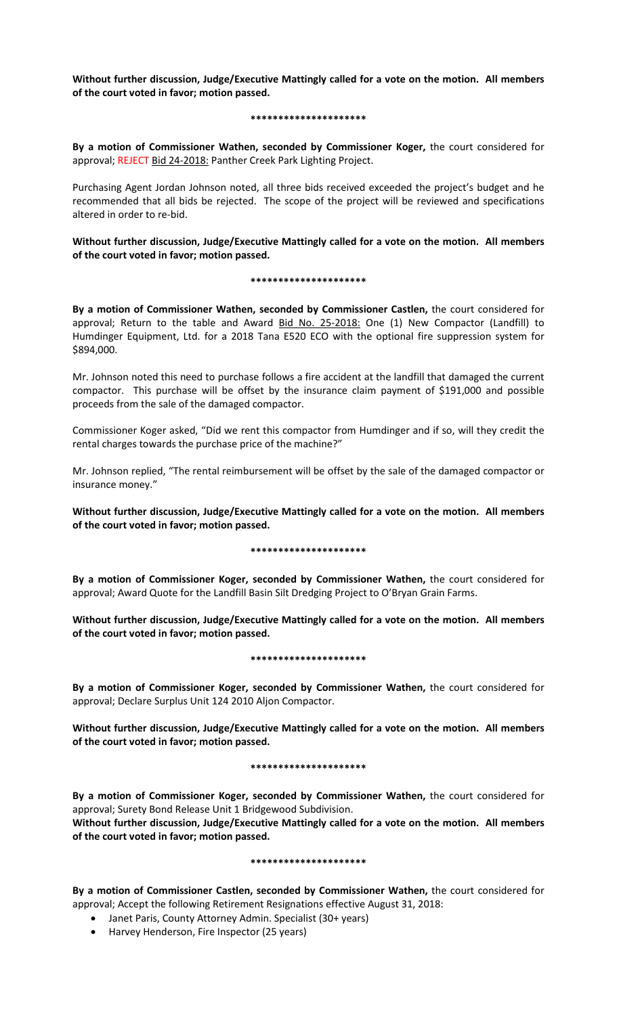**Without further discussion, Judge/Executive Mattingly called for a vote on the motion. All members of the court voted in favor; motion passed.** 

### **\*\*\*\*\*\*\*\*\*\*\*\*\*\*\*\*\*\*\*\*\***

**By a motion of Commissioner Wathen, seconded by Commissioner Koger,** the court considered for approval; REJECT Bid 24-2018: Panther Creek Park Lighting Project.

Purchasing Agent Jordan Johnson noted, all three bids received exceeded the project's budget and he recommended that all bids be rejected. The scope of the project will be reviewed and specifications altered in order to re-bid.

**Without further discussion, Judge/Executive Mattingly called for a vote on the motion. All members of the court voted in favor; motion passed.** 

#### **\*\*\*\*\*\*\*\*\*\*\*\*\*\*\*\*\*\*\*\*\***

**By a motion of Commissioner Wathen, seconded by Commissioner Castlen,** the court considered for approval; Return to the table and Award Bid No. 25-2018: One (1) New Compactor (Landfill) to Humdinger Equipment, Ltd. for a 2018 Tana E520 ECO with the optional fire suppression system for \$894,000.

Mr. Johnson noted this need to purchase follows a fire accident at the landfill that damaged the current compactor. This purchase will be offset by the insurance claim payment of \$191,000 and possible proceeds from the sale of the damaged compactor.

Commissioner Koger asked, "Did we rent this compactor from Humdinger and if so, will they credit the rental charges towards the purchase price of the machine?"

Mr. Johnson replied, "The rental reimbursement will be offset by the sale of the damaged compactor or insurance money."

**Without further discussion, Judge/Executive Mattingly called for a vote on the motion. All members of the court voted in favor; motion passed.** 

# **\*\*\*\*\*\*\*\*\*\*\*\*\*\*\*\*\*\*\*\*\***

**By a motion of Commissioner Koger, seconded by Commissioner Wathen,** the court considered for approval; Award Quote for the Landfill Basin Silt Dredging Project to O'Bryan Grain Farms.

**Without further discussion, Judge/Executive Mattingly called for a vote on the motion. All members of the court voted in favor; motion passed.** 

# **\*\*\*\*\*\*\*\*\*\*\*\*\*\*\*\*\*\*\*\*\***

**By a motion of Commissioner Koger, seconded by Commissioner Wathen,** the court considered for approval; Declare Surplus Unit 124 2010 Aljon Compactor.

**Without further discussion, Judge/Executive Mattingly called for a vote on the motion. All members of the court voted in favor; motion passed.** 

# **\*\*\*\*\*\*\*\*\*\*\*\*\*\*\*\*\*\*\*\*\***

**By a motion of Commissioner Koger, seconded by Commissioner Wathen,** the court considered for approval; Surety Bond Release Unit 1 Bridgewood Subdivision.

**Without further discussion, Judge/Executive Mattingly called for a vote on the motion. All members of the court voted in favor; motion passed.** 

# **\*\*\*\*\*\*\*\*\*\*\*\*\*\*\*\*\*\*\*\*\***

**By a motion of Commissioner Castlen, seconded by Commissioner Wathen,** the court considered for approval; Accept the following Retirement Resignations effective August 31, 2018:

- Janet Paris, County Attorney Admin. Specialist (30+ years)
- Harvey Henderson, Fire Inspector (25 years)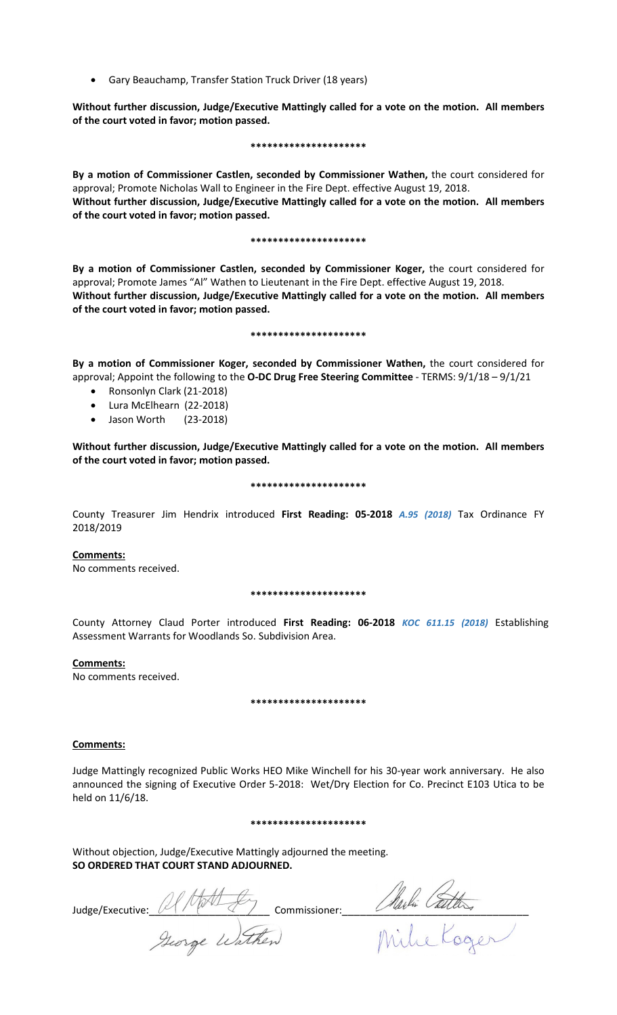• Gary Beauchamp, Transfer Station Truck Driver (18 years)

**Without further discussion, Judge/Executive Mattingly called for a vote on the motion. All members of the court voted in favor; motion passed.** 

#### **\*\*\*\*\*\*\*\*\*\*\*\*\*\*\*\*\*\*\*\*\***

**By a motion of Commissioner Castlen, seconded by Commissioner Wathen,** the court considered for approval; Promote Nicholas Wall to Engineer in the Fire Dept. effective August 19, 2018. **Without further discussion, Judge/Executive Mattingly called for a vote on the motion. All members of the court voted in favor; motion passed.** 

#### **\*\*\*\*\*\*\*\*\*\*\*\*\*\*\*\*\*\*\*\*\***

**By a motion of Commissioner Castlen, seconded by Commissioner Koger,** the court considered for approval; Promote James "Al" Wathen to Lieutenant in the Fire Dept. effective August 19, 2018. **Without further discussion, Judge/Executive Mattingly called for a vote on the motion. All members of the court voted in favor; motion passed.** 

#### **\*\*\*\*\*\*\*\*\*\*\*\*\*\*\*\*\*\*\*\*\***

**By a motion of Commissioner Koger, seconded by Commissioner Wathen,** the court considered for approval; Appoint the following to the **O-DC Drug Free Steering Committee** - TERMS: 9/1/18 – 9/1/21

- Ronsonlyn Clark (21-2018)
- Lura McElhearn (22-2018)
- Jason Worth (23-2018)

**Without further discussion, Judge/Executive Mattingly called for a vote on the motion. All members of the court voted in favor; motion passed.** 

#### **\*\*\*\*\*\*\*\*\*\*\*\*\*\*\*\*\*\*\*\*\***

County Treasurer Jim Hendrix introduced **First Reading: 05-2018** *A.95 (2018)* Tax Ordinance FY 2018/2019

# **Comments:**

No comments received.

# **\*\*\*\*\*\*\*\*\*\*\*\*\*\*\*\*\*\*\*\*\***

County Attorney Claud Porter introduced **First Reading: 06-2018** *KOC 611.15 (2018)* Establishing Assessment Warrants for Woodlands So. Subdivision Area.

# **Comments:**

No comments received.

#### **\*\*\*\*\*\*\*\*\*\*\*\*\*\*\*\*\*\*\*\*\***

# **Comments:**

Judge Mattingly recognized Public Works HEO Mike Winchell for his 30-year work anniversary. He also announced the signing of Executive Order 5-2018: Wet/Dry Election for Co. Precinct E103 Utica to be held on 11/6/18.

#### **\*\*\*\*\*\*\*\*\*\*\*\*\*\*\*\*\*\*\*\*\***

Without objection, Judge/Executive Mattingly adjourned the meeting. **SO ORDERED THAT COURT STAND ADJOURNED.**

Judge/Executive: AMA for commissioner: Alaski California<br>Jeorge Wathen Mille Koozer